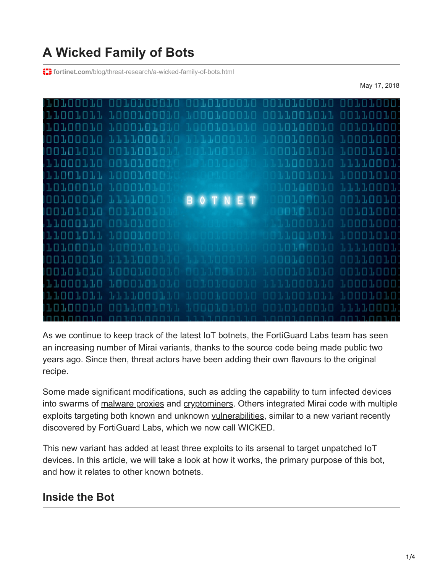# **A Wicked Family of Bots**

**f: i** fortinet.com[/blog/threat-research/a-wicked-family-of-bots.html](https://www.fortinet.com/blog/threat-research/a-wicked-family-of-bots.html)

May 17, 2018



As we continue to keep track of the latest IoT botnets, the FortiGuard Labs team has seen an increasing number of Mirai variants, thanks to the source code being made public two years ago. Since then, threat actors have been adding their own flavours to the original recipe.

Some made significant modifications, such as adding the capability to turn infected devices into swarms of [malware proxies](https://www.fortinet.com/blog/threat-research/omg--mirai-based-bot-turns-iot-devices-into-proxy-servers.html) and [cryptominers](https://www.fortinet.com/blog/threat-research/satori-adds-known-exploit-chain-to-slave-wireless-ip-cameras.html). Others integrated Mirai code with multiple exploits targeting both known and unknown [vulnerabilities](https://www.fortinet.com/blog/threat-research/rise-of-one-more-mirai-worm-variant.html), similar to a new variant recently discovered by FortiGuard Labs, which we now call WICKED.

This new variant has added at least three exploits to its arsenal to target unpatched IoT devices. In this article, we will take a look at how it works, the primary purpose of this bot, and how it relates to other known botnets.

### **Inside the Bot**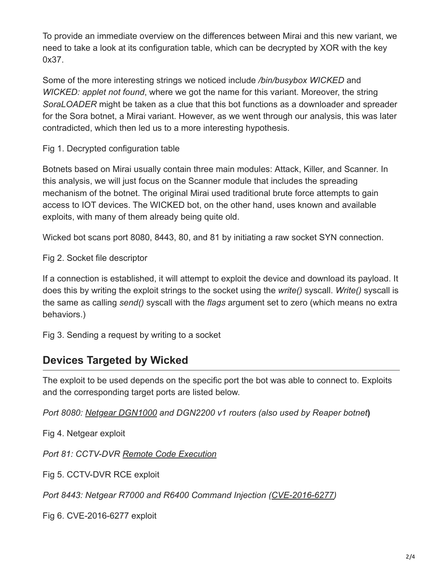To provide an immediate overview on the differences between Mirai and this new variant, we need to take a look at its configuration table, which can be decrypted by XOR with the key 0x37.

Some of the more interesting strings we noticed include */bin/busybox WICKED* and *WICKED: applet not found*, where we got the name for this variant. Moreover, the string *SoraLOADER* might be taken as a clue that this bot functions as a downloader and spreader for the Sora botnet, a Mirai variant. However, as we went through our analysis, this was later contradicted, which then led us to a more interesting hypothesis.

Fig 1. Decrypted configuration table

Botnets based on Mirai usually contain three main modules: Attack, Killer, and Scanner. In this analysis, we will just focus on the Scanner module that includes the spreading mechanism of the botnet. The original Mirai used traditional brute force attempts to gain access to IOT devices. The WICKED bot, on the other hand, uses known and available exploits, with many of them already being quite old.

Wicked bot scans port 8080, 8443, 80, and 81 by initiating a raw socket SYN connection.

Fig 2. Socket file descriptor

If a connection is established, it will attempt to exploit the device and download its payload. It does this by writing the exploit strings to the socket using the *write()* syscall. *Write()* syscall is the same as calling *send()* syscall with the *flags* argument set to zero (which means no extra behaviors.)

Fig 3. Sending a request by writing to a socket

## **Devices Targeted by Wicked**

The exploit to be used depends on the specific port the bot was able to connect to. Exploits and the corresponding target ports are listed below.

*Port 8080: [Netgear DGN1000](https://www.exploit-db.com/exploits/43055/) and DGN2200 v1 routers (also used by Reaper botnet***)** 

Fig 4. Netgear exploit

*Port 81: CCTV-DVR [Remote Code Execution](http://www.kerneronsec.com/2016/02/remote-code-execution-in-cctv-dvrs-of.html)*

Fig 5. CCTV-DVR RCE exploit

*Port 8443: Netgear R7000 and R6400 Command Injection ([CVE-2016-6277](https://www.exploit-db.com/exploits/41598/))*

Fig 6. CVE-2016-6277 exploit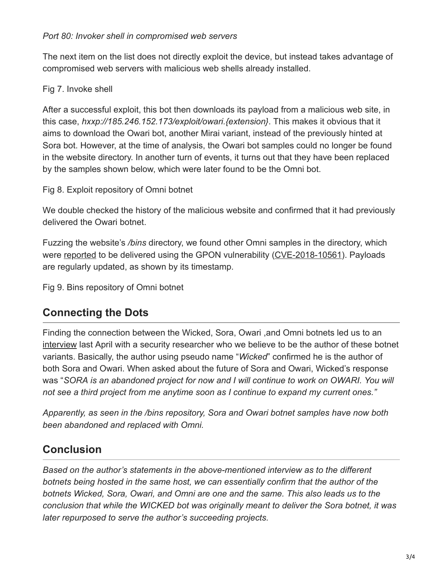The next item on the list does not directly exploit the device, but instead takes advantage of compromised web servers with malicious web shells already installed.

### Fig 7. Invoke shell

After a successful exploit, this bot then downloads its payload from a malicious web site, in this case, *hxxp://185.246.152.173/exploit/owari.{extension}*. This makes it obvious that it aims to download the Owari bot, another Mirai variant, instead of the previously hinted at Sora bot. However, at the time of analysis, the Owari bot samples could no longer be found in the website directory. In another turn of events, it turns out that they have been replaced by the samples shown below, which were later found to be the Omni bot.

Fig 8. Exploit repository of Omni botnet

We double checked the history of the malicious website and confirmed that it had previously delivered the Owari botnet.

Fuzzing the website's */bins* directory, we found other Omni samples in the directory, which were [reported](https://blog.newskysecurity.com/cve-2018-10561-dasan-gpon-exploit-weaponized-in-omni-and-muhstik-botnets-ad7b1f89cff3) to be delivered using the GPON vulnerability ([CVE-2018-10561](https://www.exploit-db.com/exploits/44576/)). Payloads are regularly updated, as shown by its timestamp.

Fig 9. Bins repository of Omni botnet

## **Connecting the Dots**

Finding the connection between the Wicked, Sora, Owari ,and Omni botnets led us to an [interview](https://blog.newskysecurity.com/understanding-the-iot-hacker-a-conversation-with-owari-sora-iot-botnet-author-117feff56863) last April with a security researcher who we believe to be the author of these botnet variants. Basically, the author using pseudo name "*Wicked*" confirmed he is the author of both Sora and Owari. When asked about the future of Sora and Owari, Wicked's response was "*SORA is an abandoned project for now and I will continue to work on OWARI. You will not see a third project from me anytime soon as I continue to expand my current ones."*

*Apparently, as seen in the /bins repository, Sora and Owari botnet samples have now both been abandoned and replaced with Omni.* 

## **Conclusion**

*Based on the author's statements in the above-mentioned interview as to the different botnets being hosted in the same host, we can essentially confirm that the author of the botnets Wicked, Sora, Owari, and Omni are one and the same. This also leads us to the conclusion that while the WICKED bot was originally meant to deliver the Sora botnet, it was later repurposed to serve the author's succeeding projects.*